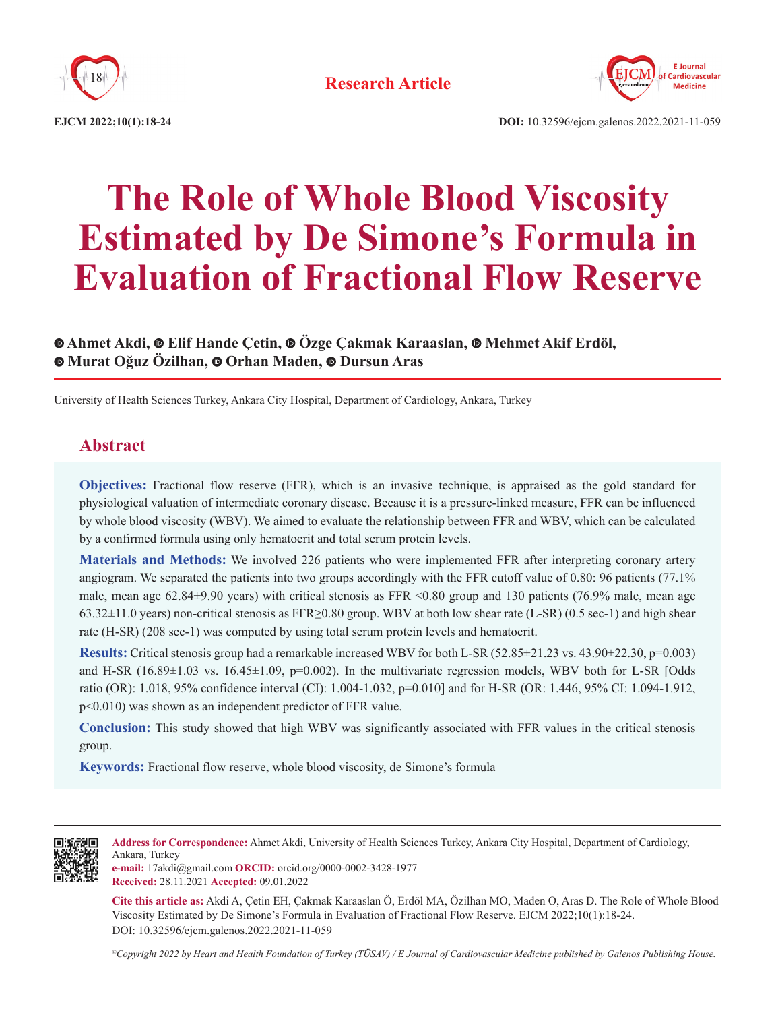



**EJCM 2022;10(1):18-24 DOI:** 10.32596/ejcm.galenos.2022.2021-11-059

# **The Role of Whole Blood Viscosity Estimated by De Simone's Formula in Evaluation of Fractional Flow Reserve**

# **Ahmet Akdi, Elif Hande Çetin, Özge Çakmak Karaaslan,Mehmet Akif Erdöl, Murat Oğuz Özilhan,Orhan Maden, Dursun Aras**

University of Health Sciences Turkey, Ankara City Hospital, Department of Cardiology, Ankara, Turkey

# **Abstract**

**Objectives:** Fractional flow reserve (FFR), which is an invasive technique, is appraised as the gold standard for physiological valuation of intermediate coronary disease. Because it is a pressure-linked measure, FFR can be influenced by whole blood viscosity (WBV). We aimed to evaluate the relationship between FFR and WBV, which can be calculated by a confirmed formula using only hematocrit and total serum protein levels.

**Materials and Methods:** We involved 226 patients who were implemented FFR after interpreting coronary artery angiogram. We separated the patients into two groups accordingly with the FFR cutoff value of 0.80: 96 patients (77.1% male, mean age  $62.84\pm9.90$  years) with critical stenosis as FFR <0.80 group and 130 patients (76.9% male, mean age 63.32±11.0 years) non-critical stenosis as FFR≥0.80 group. WBV at both low shear rate (L-SR) (0.5 sec-1) and high shear rate (H-SR) (208 sec-1) was computed by using total serum protein levels and hematocrit.

**Results:** Critical stenosis group had a remarkable increased WBV for both L-SR (52.85 $\pm$ 21.23 vs. 43.90 $\pm$ 22.30, p=0.003) and H-SR ( $16.89\pm1.03$  vs.  $16.45\pm1.09$ ,  $p=0.002$ ). In the multivariate regression models, WBV both for L-SR [Odds ratio (OR): 1.018, 95% confidence interval (CI): 1.004-1.032, p=0.010] and for H-SR (OR: 1.446, 95% CI: 1.094-1.912, p<0.010) was shown as an independent predictor of FFR value.

**Conclusion:** This study showed that high WBV was significantly associated with FFR values in the critical stenosis group.

**Keywords:** Fractional flow reserve, whole blood viscosity, de Simone's formula



**Address for Correspondence:** Ahmet Akdi, University of Health Sciences Turkey, Ankara City Hospital, Department of Cardiology, Ankara, Turkey

**e-mail:** 17akdi@gmail.com **ORCID:** orcid.org/0000-0002-3428-1977 **Received:** 28.11.2021 **Accepted:** 09.01.2022

**Cite this article as:** Akdi A, Çetin EH, Çakmak Karaaslan Ö, Erdöl MA, Özilhan MO, Maden O, Aras D. The Role of Whole Blood Viscosity Estimated by De Simone's Formula in Evaluation of Fractional Flow Reserve. EJCM 2022;10(1):18-24. DOI: 10.32596/ejcm.galenos.2022.2021-11-059

*©Copyright 2022 by Heart and Health Foundation of Turkey (TÜSAV) / E Journal of Cardiovascular Medicine published by Galenos Publishing House.*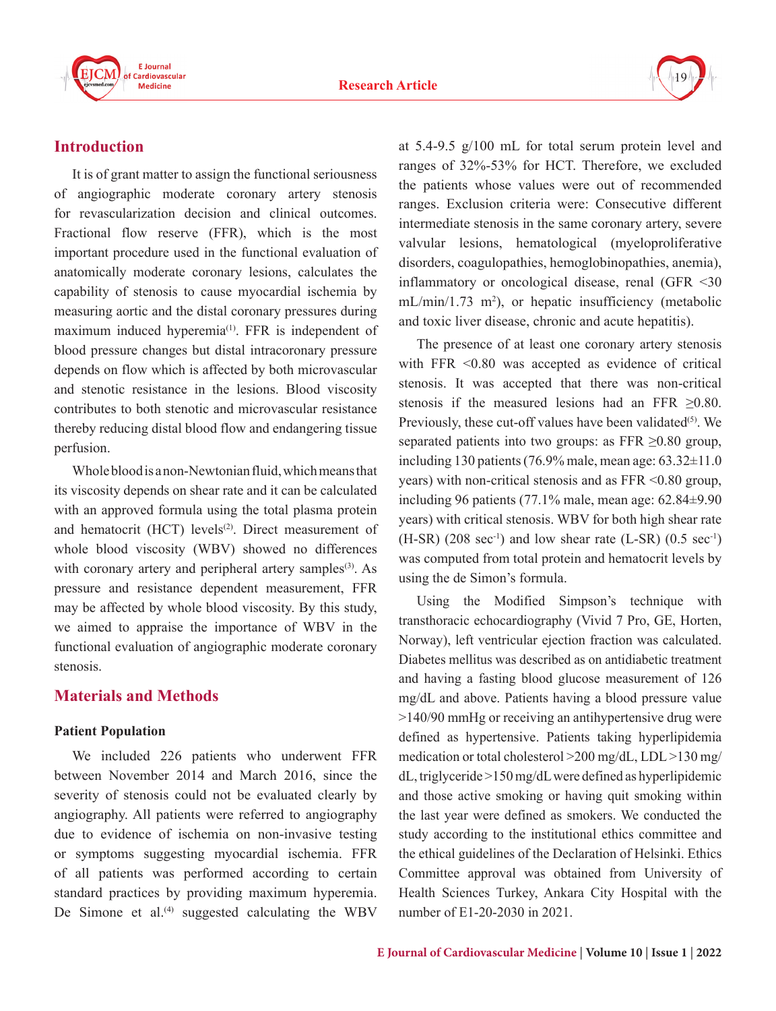

# **Introduction**

It is of grant matter to assign the functional seriousness of angiographic moderate coronary artery stenosis for revascularization decision and clinical outcomes. Fractional flow reserve (FFR), which is the most important procedure used in the functional evaluation of anatomically moderate coronary lesions, calculates the capability of stenosis to cause myocardial ischemia by measuring aortic and the distal coronary pressures during maximum induced hyperemia<sup>(1)</sup>. FFR is independent of blood pressure changes but distal intracoronary pressure depends on flow which is affected by both microvascular and stenotic resistance in the lesions. Blood viscosity contributes to both stenotic and microvascular resistance thereby reducing distal blood flow and endangering tissue perfusion.

Whole blood is a non-Newtonian fluid, which means that its viscosity depends on shear rate and it can be calculated with an approved formula using the total plasma protein and hematocrit (HCT) levels<sup>(2)</sup>. Direct measurement of whole blood viscosity (WBV) showed no differences with coronary artery and peripheral artery samples<sup>(3)</sup>. As pressure and resistance dependent measurement, FFR may be affected by whole blood viscosity. By this study, we aimed to appraise the importance of WBV in the functional evaluation of angiographic moderate coronary stenosis.

# **Materials and Methods**

#### **Patient Population**

We included 226 patients who underwent FFR between November 2014 and March 2016, since the severity of stenosis could not be evaluated clearly by angiography. All patients were referred to angiography due to evidence of ischemia on non-invasive testing or symptoms suggesting myocardial ischemia. FFR of all patients was performed according to certain standard practices by providing maximum hyperemia. De Simone et al. $(4)$  suggested calculating the WBV

at 5.4-9.5 g/100 mL for total serum protein level and ranges of 32%-53% for HCT. Therefore, we excluded the patients whose values were out of recommended ranges. Exclusion criteria were: Consecutive different intermediate stenosis in the same coronary artery, severe valvular lesions, hematological (myeloproliferative disorders, coagulopathies, hemoglobinopathies, anemia), inflammatory or oncological disease, renal (GFR <30 mL/min/1.73 m<sup>2</sup>), or hepatic insufficiency (metabolic and toxic liver disease, chronic and acute hepatitis).

The presence of at least one coronary artery stenosis with FFR <0.80 was accepted as evidence of critical stenosis. It was accepted that there was non-critical stenosis if the measured lesions had an FFR  $\geq 0.80$ . Previously, these cut-off values have been validated<sup>(5)</sup>. We separated patients into two groups: as FFR  $\geq 0.80$  group, including 130 patients (76.9% male, mean age:  $63.32\pm11.0$ years) with non-critical stenosis and as FFR <0.80 group, including 96 patients (77.1% male, mean age: 62.84±9.90 years) with critical stenosis. WBV for both high shear rate  $(H-SR)$  (208 sec<sup>-1</sup>) and low shear rate (L-SR) (0.5 sec<sup>-1</sup>) was computed from total protein and hematocrit levels by using the de Simon's formula.

Using the Modified Simpson's technique with transthoracic echocardiography (Vivid 7 Pro, GE, Horten, Norway), left ventricular ejection fraction was calculated. Diabetes mellitus was described as on antidiabetic treatment and having a fasting blood glucose measurement of 126 mg/dL and above. Patients having a blood pressure value >140/90 mmHg or receiving an antihypertensive drug were defined as hypertensive. Patients taking hyperlipidemia medication or total cholesterol >200 mg/dL, LDL >130 mg/ dL, triglyceride >150 mg/dL were defined as hyperlipidemic and those active smoking or having quit smoking within the last year were defined as smokers. We conducted the study according to the institutional ethics committee and the ethical guidelines of the Declaration of Helsinki. Ethics Committee approval was obtained from University of Health Sciences Turkey, Ankara City Hospital with the number of E1-20-2030 in 2021.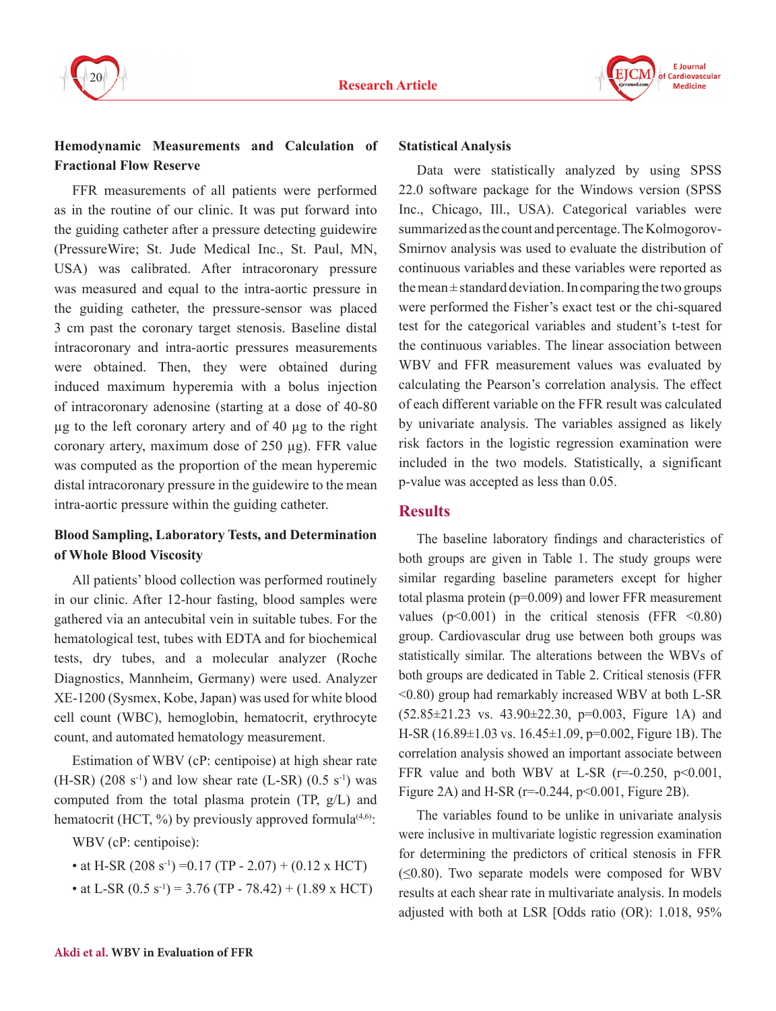



## **Hemodynamic Measurements and Calculation of Fractional Flow Reserve**

FFR measurements of all patients were performed as in the routine of our clinic. It was put forward into the guiding catheter after a pressure detecting guidewire (PressureWire; St. Jude Medical Inc., St. Paul, MN, USA) was calibrated. After intracoronary pressure was measured and equal to the intra-aortic pressure in the guiding catheter, the pressure-sensor was placed 3 cm past the coronary target stenosis. Baseline distal intracoronary and intra-aortic pressures measurements were obtained. Then, they were obtained during induced maximum hyperemia with a bolus injection of intracoronary adenosine (starting at a dose of 40-80 µg to the left coronary artery and of 40 µg to the right coronary artery, maximum dose of 250 µg). FFR value was computed as the proportion of the mean hyperemic distal intracoronary pressure in the guidewire to the mean intra-aortic pressure within the guiding catheter.

# **Blood Sampling, Laboratory Tests, and Determination of Whole Blood Viscosity**

All patients' blood collection was performed routinely in our clinic. After 12-hour fasting, blood samples were gathered via an antecubital vein in suitable tubes. For the hematological test, tubes with EDTA and for biochemical tests, dry tubes, and a molecular analyzer (Roche Diagnostics, Mannheim, Germany) were used. Analyzer XE-1200 (Sysmex, Kobe, Japan) was used for white blood cell count (WBC), hemoglobin, hematocrit, erythrocyte count, and automated hematology measurement.

Estimation of WBV (cP: centipoise) at high shear rate  $(H-SR)$  (208 s<sup>-1</sup>) and low shear rate (L-SR) (0.5 s<sup>-1</sup>) was computed from the total plasma protein (TP, g/L) and hematocrit (HCT,  $\%$ ) by previously approved formula<sup>(4,6)</sup>:

WBV (cP: centipoise):

- at H-SR  $(208 \text{ s}^{-1})$  = 0.17 (TP 2.07) + (0.12 x HCT)
- at L-SR  $(0.5 \text{ s}^{-1})$  = 3.76 (TP 78.42) + (1.89 x HCT)

#### **Statistical Analysis**

Data were statistically analyzed by using SPSS 22.0 software package for the Windows version (SPSS Inc., Chicago, Ill., USA). Categorical variables were summarized as the count and percentage. The Kolmogorov-Smirnov analysis was used to evaluate the distribution of continuous variables and these variables were reported as the mean  $\pm$  standard deviation. In comparing the two groups were performed the Fisher's exact test or the chi-squared test for the categorical variables and student's t-test for the continuous variables. The linear association between WBV and FFR measurement values was evaluated by calculating the Pearson's correlation analysis. The effect of each different variable on the FFR result was calculated by univariate analysis. The variables assigned as likely risk factors in the logistic regression examination were included in the two models. Statistically, a significant p-value was accepted as less than 0.05.

## **Results**

The baseline laboratory findings and characteristics of both groups are given in Table 1. The study groups were similar regarding baseline parameters except for higher total plasma protein (p=0.009) and lower FFR measurement values ( $p<0.001$ ) in the critical stenosis (FFR  $<0.80$ ) group. Cardiovascular drug use between both groups was statistically similar. The alterations between the WBVs of both groups are dedicated in Table 2. Critical stenosis (FFR <0.80) group had remarkably increased WBV at both L-SR (52.85±21.23 vs. 43.90±22.30, p=0.003, Figure 1A) and H-SR (16.89±1.03 vs. 16.45±1.09, p=0.002, Figure 1B). The correlation analysis showed an important associate between FFR value and both WBV at L-SR ( $r=0.250$ ,  $p<0.001$ , Figure 2A) and H-SR ( $r=0.244$ ,  $p<0.001$ , Figure 2B).

The variables found to be unlike in univariate analysis were inclusive in multivariate logistic regression examination for determining the predictors of critical stenosis in FFR  $(\leq 0.80)$ . Two separate models were composed for WBV results at each shear rate in multivariate analysis. In models adjusted with both at LSR [Odds ratio (OR): 1.018, 95%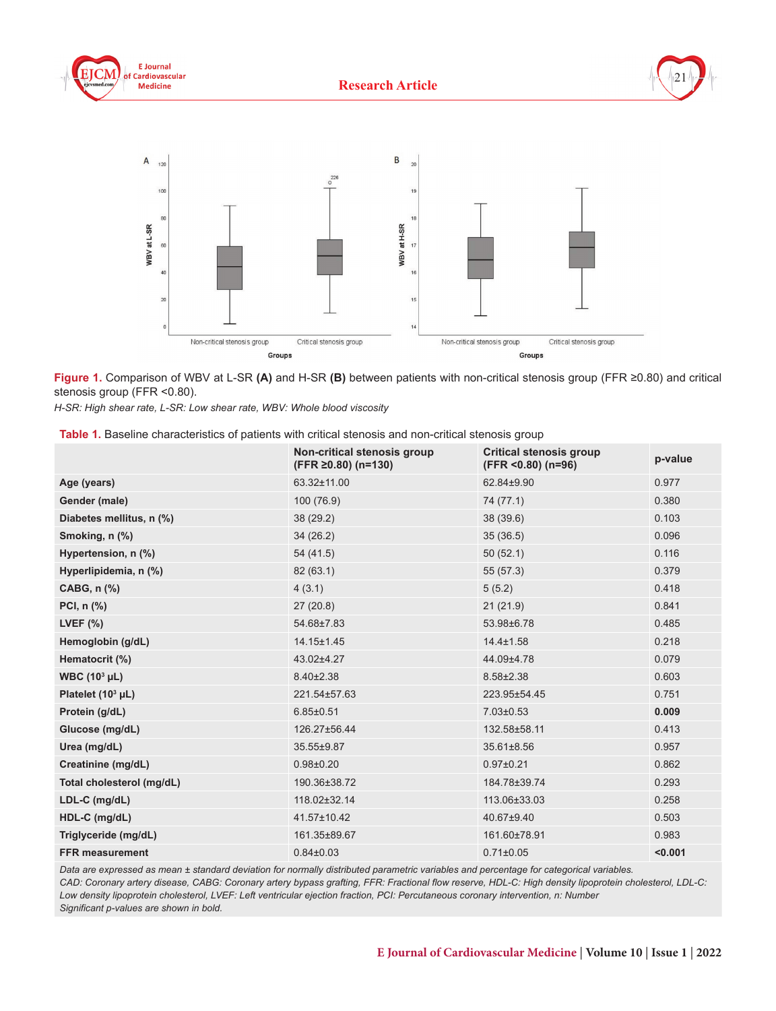





**Figure 1.** Comparison of WBV at L-SR **(A)** and H-SR **(B)** between patients with non-critical stenosis group (FFR ≥0.80) and critical stenosis group (FFR <0.80).

*H-SR: High shear rate, L-SR: Low shear rate, WBV: Whole blood viscosity* 

| Table 1. Baseline characteristics of patients with critical stenosis and non-critical stenosis group |  |  |  |
|------------------------------------------------------------------------------------------------------|--|--|--|
|------------------------------------------------------------------------------------------------------|--|--|--|

|                                     | Non-critical stenosis group<br>$(FFR \ge 0.80)$ (n=130) | <b>Critical stenosis group</b><br>$(FFR < 0.80)$ (n=96) | p-value |
|-------------------------------------|---------------------------------------------------------|---------------------------------------------------------|---------|
| Age (years)                         | 63.32±11.00                                             | 62.84±9.90                                              | 0.977   |
| Gender (male)                       | 100 (76.9)                                              | 74 (77.1)                                               | 0.380   |
| Diabetes mellitus, n (%)            | 38 (29.2)                                               | 38 (39.6)                                               | 0.103   |
| Smoking, n (%)                      | 34(26.2)                                                | 35(36.5)                                                | 0.096   |
| Hypertension, n (%)                 | 54 (41.5)                                               | 50(52.1)                                                | 0.116   |
| Hyperlipidemia, n (%)               | 82 (63.1)                                               | 55 (57.3)                                               | 0.379   |
| CABG, n (%)                         | 4(3.1)                                                  | 5(5.2)                                                  | 0.418   |
| PCI, $n$ $\left(\frac{9}{6}\right)$ | 27(20.8)                                                | 21(21.9)                                                | 0.841   |
| LVEF $(%)$                          | 54.68±7.83                                              | 53.98±6.78                                              | 0.485   |
| Hemoglobin (g/dL)                   | 14.15±1.45                                              | $14.4 \pm 1.58$                                         | 0.218   |
| Hematocrit (%)                      | 43.02±4.27                                              | 44.09±4.78                                              | 0.079   |
| WBC $(10^3 \mu L)$                  | $8.40 \pm 2.38$                                         | 8.58±2.38                                               | 0.603   |
| Platelet $(10^3 \mu L)$             | 221.54±57.63                                            | 223.95±54.45                                            | 0.751   |
| Protein (g/dL)                      | $6.85 \pm 0.51$                                         | $7.03 \pm 0.53$                                         | 0.009   |
| Glucose (mg/dL)                     | 126.27±56.44                                            | 132.58±58.11                                            | 0.413   |
| Urea (mg/dL)                        | 35.55±9.87                                              | 35.61±8.56                                              | 0.957   |
| Creatinine (mg/dL)                  | $0.98 + 0.20$                                           | $0.97 + 0.21$                                           | 0.862   |
| Total cholesterol (mg/dL)           | 190.36±38.72                                            | 184.78±39.74                                            | 0.293   |
| LDL-C (mg/dL)                       | 118.02±32.14                                            | 113.06±33.03                                            | 0.258   |
| HDL-C (mg/dL)                       | 41.57±10.42                                             | 40.67±9.40                                              | 0.503   |
| Triglyceride (mg/dL)                | 161.35±89.67                                            | 161.60±78.91                                            | 0.983   |
| <b>FFR measurement</b>              | $0.84\pm0.03$                                           | $0.71 \pm 0.05$                                         | < 0.001 |

*Data are expressed as mean ± standard deviation for normally distributed parametric variables and percentage for categorical variables.* 

*CAD: Coronary artery disease, CABG: Coronary artery bypass grafting, FFR: Fractional flow reserve, HDL-C: High density lipoprotein cholesterol, LDL-C: Low density lipoprotein cholesterol, LVEF: Left ventricular ejection fraction, PCI: Percutaneous coronary intervention, n: Number*

*Significant p-values are shown in bold.*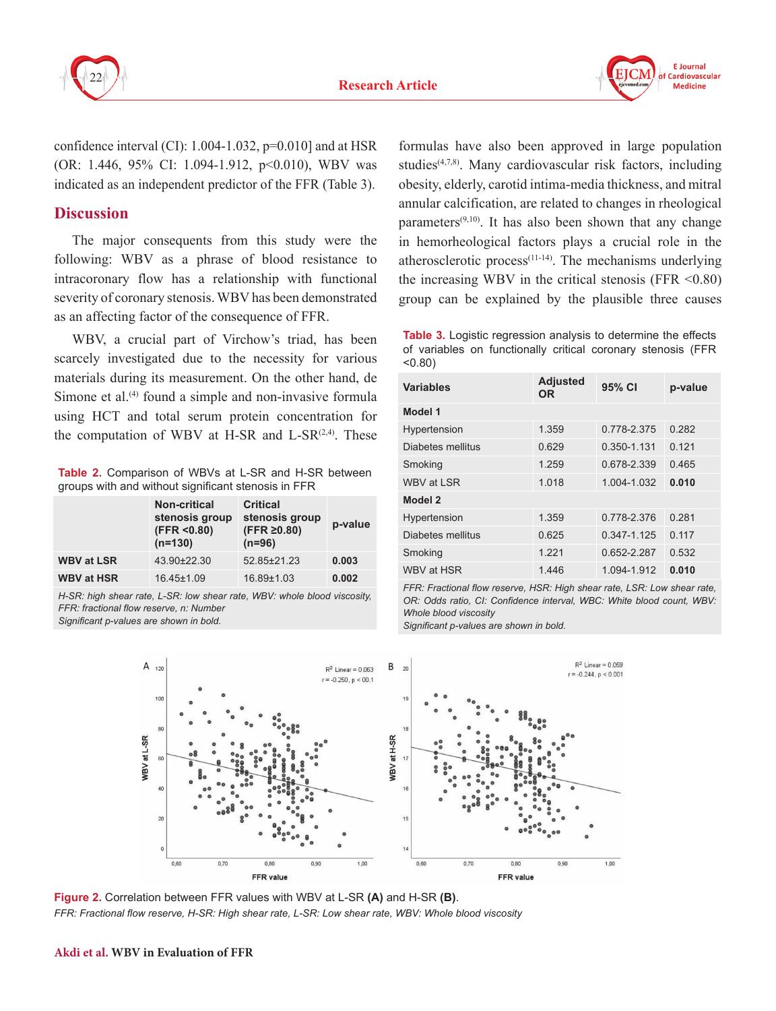

confidence interval  $(CI)$ : 1.004-1.032,  $p=0.010$ ] and at HSR (OR: 1.446, 95% CI: 1.094-1.912, p<0.010), WBV was indicated as an independent predictor of the FFR (Table 3).

# **Discussion**

The major consequents from this study were the following: WBV as a phrase of blood resistance to intracoronary flow has a relationship with functional severity of coronary stenosis. WBV has been demonstrated as an affecting factor of the consequence of FFR.

WBV, a crucial part of Virchow's triad, has been scarcely investigated due to the necessity for various materials during its measurement. On the other hand, de Simone et al. $(4)$  found a simple and non-invasive formula using HCT and total serum protein concentration for the computation of WBV at H-SR and L-SR $(2,4)$ . These

**Table 2.** Comparison of WBVs at L-SR and H-SR between groups with and without significant stenosis in FFR

|                   | <b>Non-critical</b><br>stenosis group<br>(FFR < 0.80)<br>$(n=130)$ | <b>Critical</b><br>stenosis group<br>$(FFR \ge 0.80)$<br>$(n=96)$ | p-value |
|-------------------|--------------------------------------------------------------------|-------------------------------------------------------------------|---------|
| <b>WBV at LSR</b> | 43.90±22.30                                                        | 52.85±21.23                                                       | 0.003   |
| <b>WBV at HSR</b> | 16.45±1.09                                                         | 16.89±1.03                                                        | 0.002   |

*H-SR: high shear rate, L-SR: low shear rate, WBV: whole blood viscosity, FFR: fractional flow reserve, n: Number*

*Significant p-values are shown in bold.*

formulas have also been approved in large population studies(4,7,8). Many cardiovascular risk factors, including obesity, elderly, carotid intima-media thickness, and mitral annular calcification, are related to changes in rheological parameters $(9,10)$ . It has also been shown that any change in hemorheological factors plays a crucial role in the atherosclerotic process $(11-14)$ . The mechanisms underlying the increasing WBV in the critical stenosis (FFR  $\leq 0.80$ ) group can be explained by the plausible three causes

**Table 3.** Logistic regression analysis to determine the effects of variables on functionally critical coronary stenosis (FFR <0.80)

| <b>Variables</b>  | <b>Adjusted</b><br>OR. | 95% CI      | p-value |  |
|-------------------|------------------------|-------------|---------|--|
| Model 1           |                        |             |         |  |
| Hypertension      | 1.359                  | 0.778-2.375 | 0.282   |  |
| Diabetes mellitus | 0.629                  | 0.350-1.131 | 0.121   |  |
| Smoking           | 1.259                  | 0.678-2.339 | 0.465   |  |
| WBV at LSR        | 1.018                  | 1.004-1.032 | 0.010   |  |
| Model 2           |                        |             |         |  |
| Hypertension      | 1.359                  | 0.778-2.376 | 0.281   |  |
| Diabetes mellitus | 0.625                  | 0.347-1.125 | 0.117   |  |
| Smoking           | 1 2 2 1                | 0.652-2.287 | 0.532   |  |
| WBV at HSR        | 1.446                  | 1.094-1.912 | 0.010   |  |

*FFR: Fractional flow reserve, HSR: High shear rate, LSR: Low shear rate, OR: Odds ratio, CI: Confidence interval, WBC: White blood count, WBV: Whole blood viscosity*

*Significant p-values are shown in bold.*



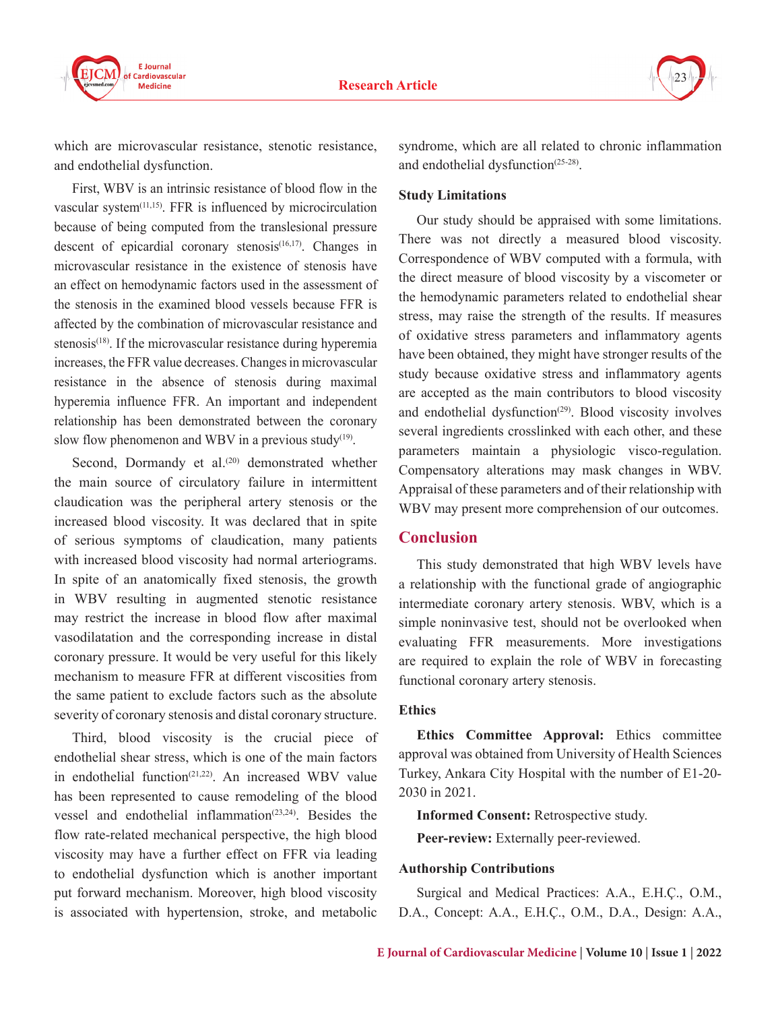



which are microvascular resistance, stenotic resistance, and endothelial dysfunction.

First, WBV is an intrinsic resistance of blood flow in the vascular system<sup>(11,15)</sup>. FFR is influenced by microcirculation because of being computed from the translesional pressure descent of epicardial coronary stenosis<sup> $(16,17)$ </sup>. Changes in microvascular resistance in the existence of stenosis have an effect on hemodynamic factors used in the assessment of the stenosis in the examined blood vessels because FFR is affected by the combination of microvascular resistance and stenosis<sup>(18)</sup>. If the microvascular resistance during hyperemia increases, the FFR value decreases. Changes in microvascular resistance in the absence of stenosis during maximal hyperemia influence FFR. An important and independent relationship has been demonstrated between the coronary slow flow phenomenon and WBV in a previous study<sup>(19)</sup>.

Second, Dormandy et al.<sup>(20)</sup> demonstrated whether the main source of circulatory failure in intermittent claudication was the peripheral artery stenosis or the increased blood viscosity. It was declared that in spite of serious symptoms of claudication, many patients with increased blood viscosity had normal arteriograms. In spite of an anatomically fixed stenosis, the growth in WBV resulting in augmented stenotic resistance may restrict the increase in blood flow after maximal vasodilatation and the corresponding increase in distal coronary pressure. It would be very useful for this likely mechanism to measure FFR at different viscosities from the same patient to exclude factors such as the absolute severity of coronary stenosis and distal coronary structure.

Third, blood viscosity is the crucial piece of endothelial shear stress, which is one of the main factors in endothelial function<sup> $(21,22)$ </sup>. An increased WBV value has been represented to cause remodeling of the blood vessel and endothelial inflammation<sup>(23,24)</sup>. Besides the flow rate-related mechanical perspective, the high blood viscosity may have a further effect on FFR via leading to endothelial dysfunction which is another important put forward mechanism. Moreover, high blood viscosity is associated with hypertension, stroke, and metabolic

syndrome, which are all related to chronic inflammation and endothelial dysfunction<sup>(25-28)</sup>.

### **Study Limitations**

Our study should be appraised with some limitations. There was not directly a measured blood viscosity. Correspondence of WBV computed with a formula, with the direct measure of blood viscosity by a viscometer or the hemodynamic parameters related to endothelial shear stress, may raise the strength of the results. If measures of oxidative stress parameters and inflammatory agents have been obtained, they might have stronger results of the study because oxidative stress and inflammatory agents are accepted as the main contributors to blood viscosity and endothelial dysfunction<sup> $(29)$ </sup>. Blood viscosity involves several ingredients crosslinked with each other, and these parameters maintain a physiologic visco-regulation. Compensatory alterations may mask changes in WBV. Appraisal of these parameters and of their relationship with WBV may present more comprehension of our outcomes.

## **Conclusion**

This study demonstrated that high WBV levels have a relationship with the functional grade of angiographic intermediate coronary artery stenosis. WBV, which is a simple noninvasive test, should not be overlooked when evaluating FFR measurements. More investigations are required to explain the role of WBV in forecasting functional coronary artery stenosis.

## **Ethics**

**Ethics Committee Approval:** Ethics committee approval was obtained from University of Health Sciences Turkey, Ankara City Hospital with the number of E1-20- 2030 in 2021.

**Informed Consent:** Retrospective study.

**Peer-review:** Externally peer-reviewed.

#### **Authorship Contributions**

Surgical and Medical Practices: A.A., E.H.Ç., O.M., D.A., Concept: A.A., E.H.Ç., O.M., D.A., Design: A.A.,